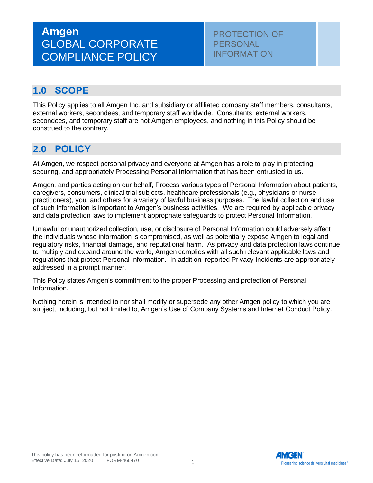# **Amgen** GLOBAL CORPORATE COMPLIANCE POLICY

PROTECTION OF **PERSONAL** INFORMATION

### **1.0 SCOPE**

This Policy applies to all Amgen Inc. and subsidiary or affiliated company staff members, consultants, external workers, secondees, and temporary staff worldwide. Consultants, external workers, secondees, and temporary staff are not Amgen employees, and nothing in this Policy should be construed to the contrary.

### **2.0 POLICY**

At Amgen, we respect personal privacy and everyone at Amgen has a role to play in protecting, securing, and appropriately Processing Personal Information that has been entrusted to us.

Amgen, and parties acting on our behalf, Process various types of Personal Information about patients, caregivers, consumers, clinical trial subjects, healthcare professionals (e.g., physicians or nurse practitioners), you, and others for a variety of lawful business purposes. The lawful collection and use of such information is important to Amgen's business activities. We are required by applicable privacy and data protection laws to implement appropriate safeguards to protect Personal Information.

Unlawful or unauthorized collection, use, or disclosure of Personal Information could adversely affect the individuals whose information is compromised, as well as potentially expose Amgen to legal and regulatory risks, financial damage, and reputational harm. As privacy and data protection laws continue to multiply and expand around the world, Amgen complies with all such relevant applicable laws and regulations that protect Personal Information. In addition, reported Privacy Incidents are appropriately addressed in a prompt manner.

This Policy states Amgen's commitment to the proper Processing and protection of Personal Information.

Nothing herein is intended to nor shall modify or supersede any other Amgen policy to which you are subject, including, but not limited to, Amgen's Use of Company Systems and Internet Conduct Policy.

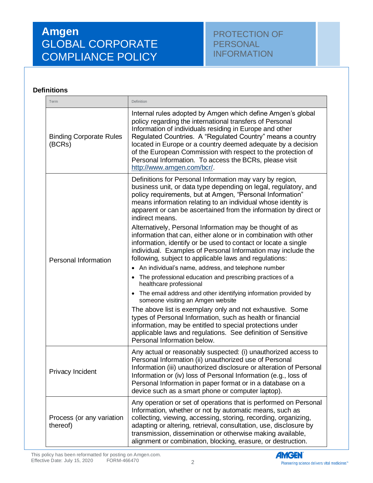# **Amgen** GLOBAL CORPORATE COMPLIANCE POLICY

#### **Definitions**

| Term                                     | Definition                                                                                                                                                                                                                                                                                                                                                                                                                                                               |
|------------------------------------------|--------------------------------------------------------------------------------------------------------------------------------------------------------------------------------------------------------------------------------------------------------------------------------------------------------------------------------------------------------------------------------------------------------------------------------------------------------------------------|
| <b>Binding Corporate Rules</b><br>(BCRs) | Internal rules adopted by Amgen which define Amgen's global<br>policy regarding the international transfers of Personal<br>Information of individuals residing in Europe and other<br>Regulated Countries. A "Regulated Country" means a country<br>located in Europe or a country deemed adequate by a decision<br>of the European Commission with respect to the protection of<br>Personal Information. To access the BCRs, please visit<br>http://www.amgen.com/bcr/. |
| Personal Information                     | Definitions for Personal Information may vary by region,<br>business unit, or data type depending on legal, regulatory, and<br>policy requirements, but at Amgen, "Personal Information"<br>means information relating to an individual whose identity is<br>apparent or can be ascertained from the information by direct or<br>indirect means.                                                                                                                         |
|                                          | Alternatively, Personal Information may be thought of as<br>information that can, either alone or in combination with other<br>information, identify or be used to contact or locate a single<br>individual. Examples of Personal Information may include the<br>following, subject to applicable laws and regulations:<br>• An individual's name, address, and telephone number                                                                                         |
|                                          | The professional education and prescribing practices of a<br>healthcare professional                                                                                                                                                                                                                                                                                                                                                                                     |
|                                          | • The email address and other identifying information provided by<br>someone visiting an Amgen website                                                                                                                                                                                                                                                                                                                                                                   |
|                                          | The above list is exemplary only and not exhaustive. Some<br>types of Personal Information, such as health or financial<br>information, may be entitled to special protections under<br>applicable laws and regulations. See definition of Sensitive<br>Personal Information below.                                                                                                                                                                                      |
| Privacy Incident                         | Any actual or reasonably suspected: (i) unauthorized access to<br>Personal Information (ii) unauthorized use of Personal<br>Information (iii) unauthorized disclosure or alteration of Personal<br>Information or (iv) loss of Personal Information (e.g., loss of<br>Personal Information in paper format or in a database on a<br>device such as a smart phone or computer laptop).                                                                                    |
| Process (or any variation<br>thereof)    | Any operation or set of operations that is performed on Personal<br>Information, whether or not by automatic means, such as<br>collecting, viewing, accessing, storing, recording, organizing,<br>adapting or altering, retrieval, consultation, use, disclosure by<br>transmission, dissemination or otherwise making available,<br>alignment or combination, blocking, erasure, or destruction.                                                                        |

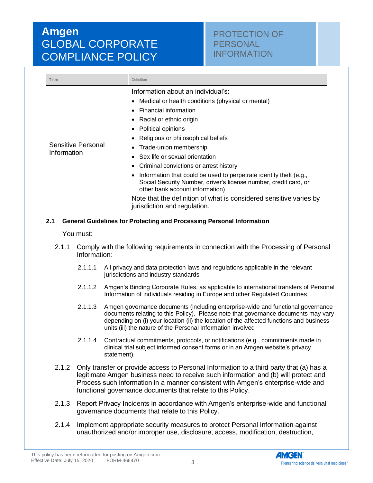# **Amgen** GLOBAL CORPORATE COMPLIANCE POLICY

### PROTECTION OF **PERSONAL** INFORMATION

| Term                              | Definition                                                                                                                                                                                                                                                                                                                                                                                                                                                                                                                                                                                                           |
|-----------------------------------|----------------------------------------------------------------------------------------------------------------------------------------------------------------------------------------------------------------------------------------------------------------------------------------------------------------------------------------------------------------------------------------------------------------------------------------------------------------------------------------------------------------------------------------------------------------------------------------------------------------------|
| Sensitive Personal<br>Information | Information about an individual's:<br>Medical or health conditions (physical or mental)<br>Financial information<br>Racial or ethnic origin<br><b>Political opinions</b><br>Religious or philosophical beliefs<br>Trade-union membership<br>$\bullet$<br>Sex life or sexual orientation<br>Criminal convictions or arrest history<br>Information that could be used to perpetrate identity theft (e.g.,<br>Social Security Number, driver's license number, credit card, or<br>other bank account information)<br>Note that the definition of what is considered sensitive varies by<br>jurisdiction and regulation. |

#### **2.1 General Guidelines for Protecting and Processing Personal Information**

You must:

- 2.1.1 Comply with the following requirements in connection with the Processing of Personal Information:
	- 2.1.1.1 All privacy and data protection laws and regulations applicable in the relevant jurisdictions and industry standards
	- 2.1.1.2 Amgen's Binding Corporate Rules, as applicable to international transfers of Personal Information of individuals residing in Europe and other Regulated Countries
	- 2.1.1.3 Amgen governance documents (including enterprise-wide and functional governance documents relating to this Policy). Please note that governance documents may vary depending on (i) your location (ii) the location of the affected functions and business units (iii) the nature of the Personal Information involved
	- 2.1.1.4 Contractual commitments, protocols, or notifications (e.g., commitments made in clinical trial subject informed consent forms or in an Amgen website's privacy statement).
- 2.1.2 Only transfer or provide access to Personal Information to a third party that (a) has a legitimate Amgen business need to receive such information and (b) will protect and Process such information in a manner consistent with Amgen's enterprise-wide and functional governance documents that relate to this Policy.
- 2.1.3 Report Privacy Incidents in accordance with Amgen's enterprise-wide and functional governance documents that relate to this Policy.
- 2.1.4 Implement appropriate security measures to protect Personal Information against unauthorized and/or improper use, disclosure, access, modification, destruction,